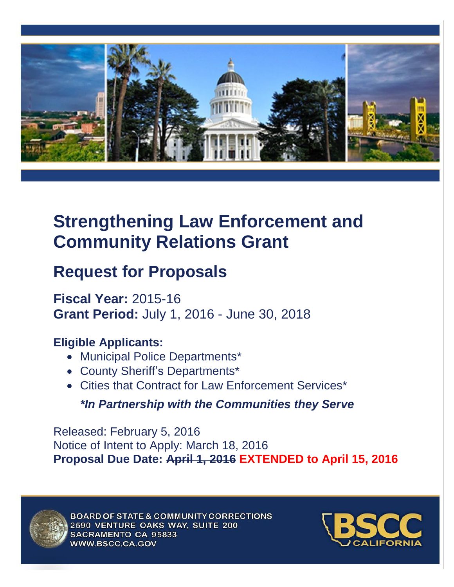

# **Strengthening Law Enforcement and Community Relations Grant**

# **Request for Proposals**

**Fiscal Year:** 2015-16 **Grant Period:** July 1, 2016 - June 30, 2018

# **Eligible Applicants:**

- Municipal Police Departments\*
- County Sheriff's Departments\*
- Cities that Contract for Law Enforcement Services\*

*\*In Partnership with the Communities they Serve*

Released: February 5, 2016 Notice of Intent to Apply: March 18, 2016 **Proposal Due Date: April 1, 2016 EXTENDED to April 15, 2016**



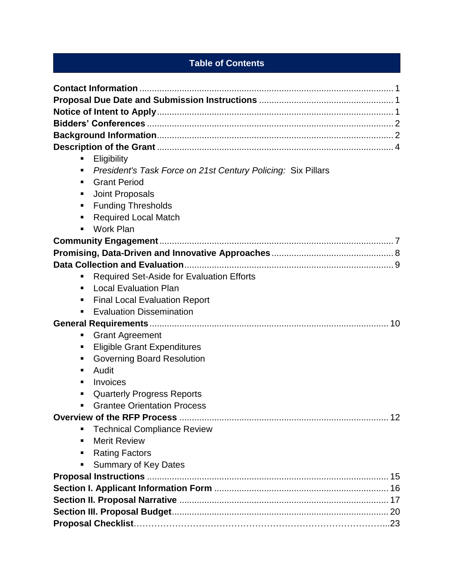# **Table of Contents**

| Eligibility<br>п                                                  |
|-------------------------------------------------------------------|
| President's Task Force on 21st Century Policing: Six Pillars<br>п |
| <b>Grant Period</b><br>٠                                          |
| Joint Proposals<br>п                                              |
| <b>Funding Thresholds</b><br>п                                    |
| <b>Required Local Match</b><br>п                                  |
| Work Plan<br>$\blacksquare$                                       |
|                                                                   |
|                                                                   |
|                                                                   |
| Required Set-Aside for Evaluation Efforts<br>п                    |
| <b>Local Evaluation Plan</b><br>٠                                 |
| <b>Final Local Evaluation Report</b><br>٠                         |
| <b>Evaluation Dissemination</b>                                   |
|                                                                   |
| <b>Grant Agreement</b><br>п                                       |
| <b>Eligible Grant Expenditures</b><br>٠                           |
| <b>Governing Board Resolution</b><br>п                            |
| Audit<br>п                                                        |
| Invoices<br>٠                                                     |
| <b>Quarterly Progress Reports</b><br>п                            |
| <b>Grantee Orientation Process</b><br>$\blacksquare$              |
|                                                                   |
| <b>Technical Compliance Review</b><br>٠                           |
| <b>Merit Review</b><br>п                                          |
| <b>Rating Factors</b><br>٠                                        |
| <b>Summary of Key Dates</b><br>П                                  |
|                                                                   |
|                                                                   |
|                                                                   |
|                                                                   |
|                                                                   |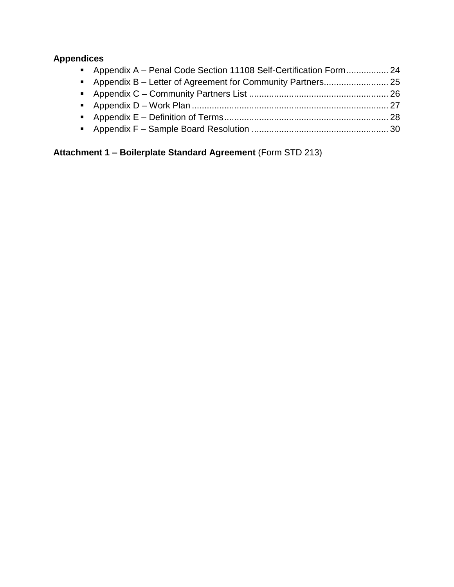# **Appendices**

| Appendix A - Penal Code Section 11108 Self-Certification Form 24 |  |
|------------------------------------------------------------------|--|
|                                                                  |  |
|                                                                  |  |
|                                                                  |  |
|                                                                  |  |
|                                                                  |  |

**Attachment 1 – Boilerplate Standard Agreement** (Form STD 213)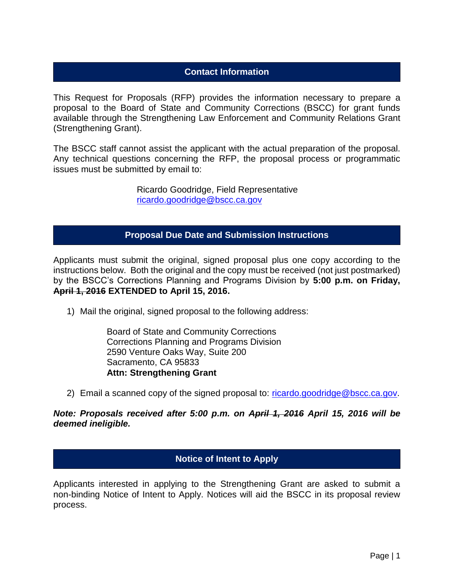## **Contact Information**

This Request for Proposals (RFP) provides the information necessary to prepare a proposal to the Board of State and Community Corrections (BSCC) for grant funds available through the Strengthening Law Enforcement and Community Relations Grant (Strengthening Grant).

The BSCC staff cannot assist the applicant with the actual preparation of the proposal. Any technical questions concerning the RFP, the proposal process or programmatic issues must be submitted by email to:

> Ricardo Goodridge, Field Representative [ricardo.goodridge@bscc.ca.gov](mailto:ricardo.goodridge@bscc.ca.gov)

## **Proposal Due Date and Submission Instructions**

Applicants must submit the original, signed proposal plus one copy according to the instructions below. Both the original and the copy must be received (not just postmarked) by the BSCC's Corrections Planning and Programs Division by **5:00 p.m. on Friday, April 1, 2016 EXTENDED to April 15, 2016.**

1) Mail the original, signed proposal to the following address:

Board of State and Community Corrections Corrections Planning and Programs Division 2590 Venture Oaks Way, Suite 200 Sacramento, CA 95833 **Attn: Strengthening Grant**

2) Email a scanned copy of the signed proposal to: [ricardo.goodridge@bscc.ca.gov.](mailto:ricardo.goodridge@bscc.ca.gov)

*Note: Proposals received after 5:00 p.m. on April 1, 2016 April 15, 2016 will be deemed ineligible.*

## **Notice of Intent to Apply**

Applicants interested in applying to the Strengthening Grant are asked to submit a non-binding Notice of Intent to Apply. Notices will aid the BSCC in its proposal review process.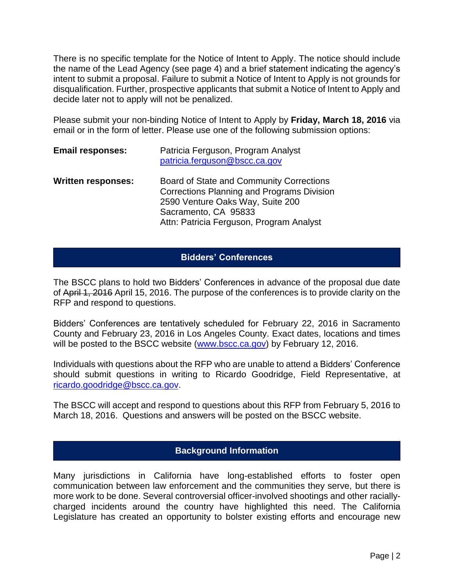There is no specific template for the Notice of Intent to Apply. The notice should include the name of the Lead Agency (see page 4) and a brief statement indicating the agency's intent to submit a proposal. Failure to submit a Notice of Intent to Apply is not grounds for disqualification. Further, prospective applicants that submit a Notice of Intent to Apply and decide later not to apply will not be penalized.

Please submit your non-binding Notice of Intent to Apply by **Friday, March 18, 2016** via email or in the form of letter. Please use one of the following submission options:

| <b>Email responses:</b>   | Patricia Ferguson, Program Analyst<br>patricia.ferguson@bscc.ca.gov                                                                                                                                   |
|---------------------------|-------------------------------------------------------------------------------------------------------------------------------------------------------------------------------------------------------|
| <b>Written responses:</b> | Board of State and Community Corrections<br><b>Corrections Planning and Programs Division</b><br>2590 Venture Oaks Way, Suite 200<br>Sacramento, CA 95833<br>Attn: Patricia Ferguson, Program Analyst |

## **Bidders' Conferences**

The BSCC plans to hold two Bidders' Conferences in advance of the proposal due date of April 1, 2016 April 15, 2016. The purpose of the conferences is to provide clarity on the RFP and respond to questions.

Bidders' Conferences are tentatively scheduled for February 22, 2016 in Sacramento County and February 23, 2016 in Los Angeles County. Exact dates, locations and times will be posted to the BSCC website [\(www.bscc.ca.gov\)](http://www.bscc.ca.gov/) by February 12, 2016.

Individuals with questions about the RFP who are unable to attend a Bidders' Conference should submit questions in writing to Ricardo Goodridge, Field Representative, at [ricardo.goodridge@bscc.ca.gov.](mailto:ricardo.goodridge@bscc.ca.gov)

The BSCC will accept and respond to questions about this RFP from February 5, 2016 to March 18, 2016. Questions and answers will be posted on the BSCC website.

## **Background Information**

Many jurisdictions in California have long-established efforts to foster open communication between law enforcement and the communities they serve, but there is more work to be done. Several controversial officer-involved shootings and other raciallycharged incidents around the country have highlighted this need. The California Legislature has created an opportunity to bolster existing efforts and encourage new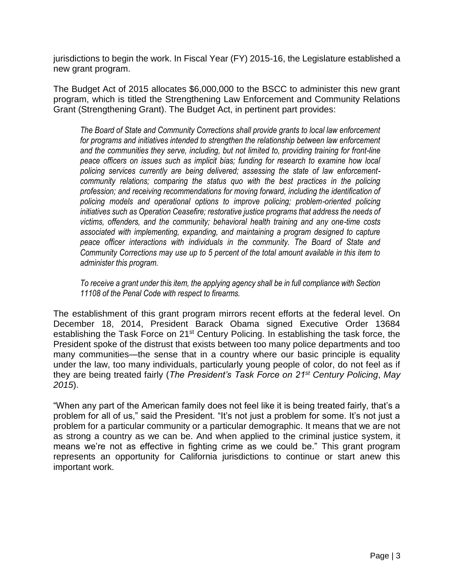jurisdictions to begin the work. In Fiscal Year (FY) 2015-16, the Legislature established a new grant program.

The Budget Act of 2015 allocates \$6,000,000 to the BSCC to administer this new grant program, which is titled the Strengthening Law Enforcement and Community Relations Grant (Strengthening Grant). The Budget Act, in pertinent part provides:

*The Board of State and Community Corrections shall provide grants to local law enforcement for programs and initiatives intended to strengthen the relationship between law enforcement and the communities they serve, including, but not limited to, providing training for front-line peace officers on issues such as implicit bias; funding for research to examine how local policing services currently are being delivered; assessing the state of law enforcementcommunity relations; comparing the status quo with the best practices in the policing profession; and receiving recommendations for moving forward, including the identification of policing models and operational options to improve policing; problem-oriented policing initiatives such as Operation Ceasefire; restorative justice programs that address the needs of victims, offenders, and the community; behavioral health training and any one-time costs associated with implementing, expanding, and maintaining a program designed to capture peace officer interactions with individuals in the community. The Board of State and Community Corrections may use up to 5 percent of the total amount available in this item to administer this program.*

*To receive a grant under this item, the applying agency shall be in full compliance with Section 11108 of the Penal Code with respect to firearms.*

The establishment of this grant program mirrors recent efforts at the federal level. On December 18, 2014, President Barack Obama signed Executive Order 13684 establishing the Task Force on 21<sup>st</sup> Century Policing. In establishing the task force, the President spoke of the distrust that exists between too many police departments and too many communities—the sense that in a country where our basic principle is equality under the law, too many individuals, particularly young people of color, do not feel as if they are being treated fairly (*The President's Task Force on 21st Century Policing*, *May 2015*).

"When any part of the American family does not feel like it is being treated fairly, that's a problem for all of us," said the President. "It's not just a problem for some. It's not just a problem for a particular community or a particular demographic. It means that we are not as strong a country as we can be. And when applied to the criminal justice system, it means we're not as effective in fighting crime as we could be." This grant program represents an opportunity for California jurisdictions to continue or start anew this important work.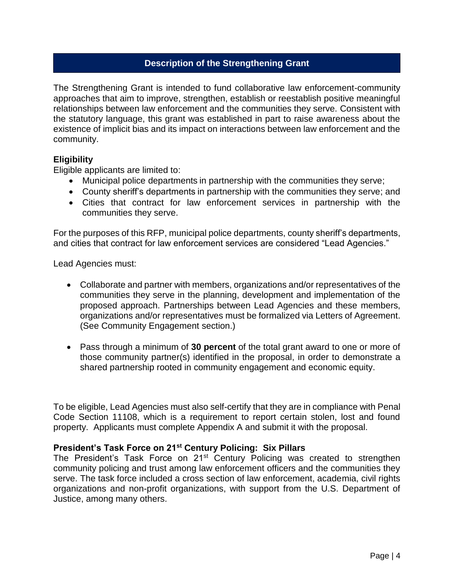## **Description of the Strengthening Grant**

The Strengthening Grant is intended to fund collaborative law enforcement-community approaches that aim to improve, strengthen, establish or reestablish positive meaningful relationships between law enforcement and the communities they serve. Consistent with the statutory language, this grant was established in part to raise awareness about the existence of implicit bias and its impact on interactions between law enforcement and the community.

#### **Eligibility**

Eligible applicants are limited to:

- Municipal police departments in partnership with the communities they serve;
- County sheriff's departments in partnership with the communities they serve; and
- Cities that contract for law enforcement services in partnership with the communities they serve.

For the purposes of this RFP, municipal police departments, county sheriff's departments, and cities that contract for law enforcement services are considered "Lead Agencies."

Lead Agencies must:

- Collaborate and partner with members, organizations and/or representatives of the communities they serve in the planning, development and implementation of the proposed approach. Partnerships between Lead Agencies and these members, organizations and/or representatives must be formalized via Letters of Agreement. (See Community Engagement section.)
- Pass through a minimum of **30 percent** of the total grant award to one or more of those community partner(s) identified in the proposal, in order to demonstrate a shared partnership rooted in community engagement and economic equity.

To be eligible, Lead Agencies must also self-certify that they are in compliance with Penal Code Section 11108, which is a requirement to report certain stolen, lost and found property. Applicants must complete Appendix A and submit it with the proposal.

#### **President's Task Force on 21st Century Policing: Six Pillars**

The President's Task Force on 21<sup>st</sup> Century Policing was created to strengthen community policing and trust among law enforcement officers and the communities they serve. The task force included a cross section of law enforcement, academia, civil rights organizations and non-profit organizations, with support from the U.S. Department of Justice, among many others.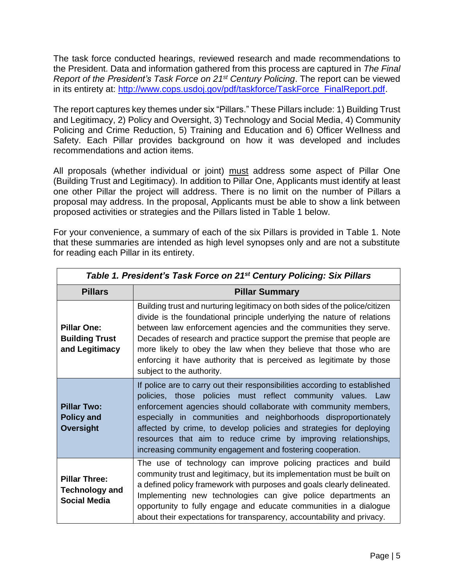The task force conducted hearings, reviewed research and made recommendations to the President. Data and information gathered from this process are captured in *The Final Report of the President's Task Force on 21st Century Policing*. The report can be viewed in its entirety at: [http://www.cops.usdoj.gov/pdf/taskforce/TaskForce\\_FinalReport.pdf.](http://www.cops.usdoj.gov/pdf/taskforce/TaskForce_FinalReport.pdf)

The report captures key themes under six "Pillars." These Pillars include: 1) Building Trust and Legitimacy, 2) Policy and Oversight, 3) Technology and Social Media, 4) Community Policing and Crime Reduction, 5) Training and Education and 6) Officer Wellness and Safety. Each Pillar provides background on how it was developed and includes recommendations and action items.

All proposals (whether individual or joint) must address some aspect of Pillar One (Building Trust and Legitimacy). In addition to Pillar One, Applicants must identify at least one other Pillar the project will address. There is no limit on the number of Pillars a proposal may address. In the proposal, Applicants must be able to show a link between proposed activities or strategies and the Pillars listed in Table 1 below.

For your convenience, a summary of each of the six Pillars is provided in Table 1. Note that these summaries are intended as high level synopses only and are not a substitute for reading each Pillar in its entirety.

| Table 1. President's Task Force on 21 <sup>st</sup> Century Policing: Six Pillars |                                                                                                                                                                                                                                                                                                                                                                                                                                                                                       |  |  |  |
|-----------------------------------------------------------------------------------|---------------------------------------------------------------------------------------------------------------------------------------------------------------------------------------------------------------------------------------------------------------------------------------------------------------------------------------------------------------------------------------------------------------------------------------------------------------------------------------|--|--|--|
| <b>Pillars</b>                                                                    | <b>Pillar Summary</b>                                                                                                                                                                                                                                                                                                                                                                                                                                                                 |  |  |  |
| <b>Pillar One:</b><br><b>Building Trust</b><br>and Legitimacy                     | Building trust and nurturing legitimacy on both sides of the police/citizen<br>divide is the foundational principle underlying the nature of relations<br>between law enforcement agencies and the communities they serve.<br>Decades of research and practice support the premise that people are<br>more likely to obey the law when they believe that those who are<br>enforcing it have authority that is perceived as legitimate by those<br>subject to the authority.           |  |  |  |
| <b>Pillar Two:</b><br><b>Policy and</b><br>Oversight                              | If police are to carry out their responsibilities according to established<br>policies, those policies must reflect community values. Law<br>enforcement agencies should collaborate with community members,<br>especially in communities and neighborhoods disproportionately<br>affected by crime, to develop policies and strategies for deploying<br>resources that aim to reduce crime by improving relationships,<br>increasing community engagement and fostering cooperation. |  |  |  |
| <b>Pillar Three:</b><br><b>Technology and</b><br><b>Social Media</b>              | The use of technology can improve policing practices and build<br>community trust and legitimacy, but its implementation must be built on<br>a defined policy framework with purposes and goals clearly delineated.<br>Implementing new technologies can give police departments an<br>opportunity to fully engage and educate communities in a dialogue<br>about their expectations for transparency, accountability and privacy.                                                    |  |  |  |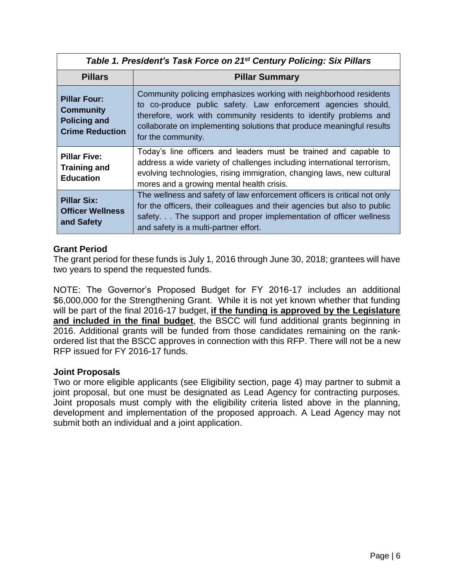| Table 1. President's Task Force on 21 <sup>st</sup> Century Policing: Six Pillars        |                                                                                                                                                                                                                                                                                                        |  |  |  |
|------------------------------------------------------------------------------------------|--------------------------------------------------------------------------------------------------------------------------------------------------------------------------------------------------------------------------------------------------------------------------------------------------------|--|--|--|
| <b>Pillars</b><br><b>Pillar Summary</b>                                                  |                                                                                                                                                                                                                                                                                                        |  |  |  |
| <b>Pillar Four:</b><br><b>Community</b><br><b>Policing and</b><br><b>Crime Reduction</b> | Community policing emphasizes working with neighborhood residents<br>to co-produce public safety. Law enforcement agencies should,<br>therefore, work with community residents to identify problems and<br>collaborate on implementing solutions that produce meaningful results<br>for the community. |  |  |  |
| <b>Pillar Five:</b><br><b>Training and</b><br><b>Education</b>                           | Today's line officers and leaders must be trained and capable to<br>address a wide variety of challenges including international terrorism,<br>evolving technologies, rising immigration, changing laws, new cultural<br>mores and a growing mental health crisis.                                     |  |  |  |
| <b>Pillar Six:</b><br><b>Officer Wellness</b><br>and Safety                              | The wellness and safety of law enforcement officers is critical not only<br>for the officers, their colleagues and their agencies but also to public<br>safety. The support and proper implementation of officer wellness<br>and safety is a multi-partner effort.                                     |  |  |  |

## **Grant Period**

The grant period for these funds is July 1, 2016 through June 30, 2018; grantees will have two years to spend the requested funds.

NOTE: The Governor's Proposed Budget for FY 2016-17 includes an additional \$6,000,000 for the Strengthening Grant. While it is not yet known whether that funding will be part of the final 2016-17 budget, **if the funding is approved by the Legislature and included in the final budget**, the BSCC will fund additional grants beginning in 2016. Additional grants will be funded from those candidates remaining on the rankordered list that the BSCC approves in connection with this RFP. There will not be a new RFP issued for FY 2016-17 funds.

## **Joint Proposals**

Two or more eligible applicants (see Eligibility section, page 4) may partner to submit a joint proposal, but one must be designated as Lead Agency for contracting purposes. Joint proposals must comply with the eligibility criteria listed above in the planning, development and implementation of the proposed approach. A Lead Agency may not submit both an individual and a joint application.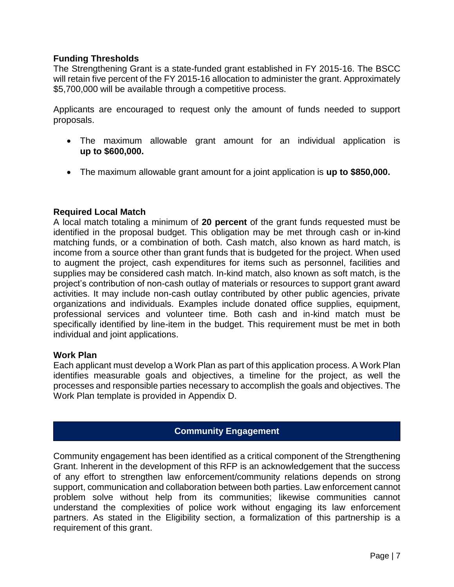## **Funding Thresholds**

The Strengthening Grant is a state-funded grant established in FY 2015-16. The BSCC will retain five percent of the FY 2015-16 allocation to administer the grant. Approximately \$5,700,000 will be available through a competitive process.

Applicants are encouraged to request only the amount of funds needed to support proposals.

- The maximum allowable grant amount for an individual application is **up to \$600,000.**
- The maximum allowable grant amount for a joint application is **up to \$850,000.**

## **Required Local Match**

A local match totaling a minimum of **20 percent** of the grant funds requested must be identified in the proposal budget. This obligation may be met through cash or in-kind matching funds, or a combination of both. Cash match, also known as hard match, is income from a source other than grant funds that is budgeted for the project. When used to augment the project, cash expenditures for items such as personnel, facilities and supplies may be considered cash match. In-kind match, also known as soft match, is the project's contribution of non-cash outlay of materials or resources to support grant award activities. It may include non-cash outlay contributed by other public agencies, private organizations and individuals. Examples include donated office supplies, equipment, professional services and volunteer time. Both cash and in-kind match must be specifically identified by line-item in the budget. This requirement must be met in both individual and joint applications.

## **Work Plan**

Each applicant must develop a Work Plan as part of this application process. A Work Plan identifies measurable goals and objectives, a timeline for the project, as well the processes and responsible parties necessary to accomplish the goals and objectives. The Work Plan template is provided in Appendix D.

## **Community Engagement**

Community engagement has been identified as a critical component of the Strengthening Grant. Inherent in the development of this RFP is an acknowledgement that the success of any effort to strengthen law enforcement/community relations depends on strong support, communication and collaboration between both parties. Law enforcement cannot problem solve without help from its communities; likewise communities cannot understand the complexities of police work without engaging its law enforcement partners. As stated in the Eligibility section, a formalization of this partnership is a requirement of this grant.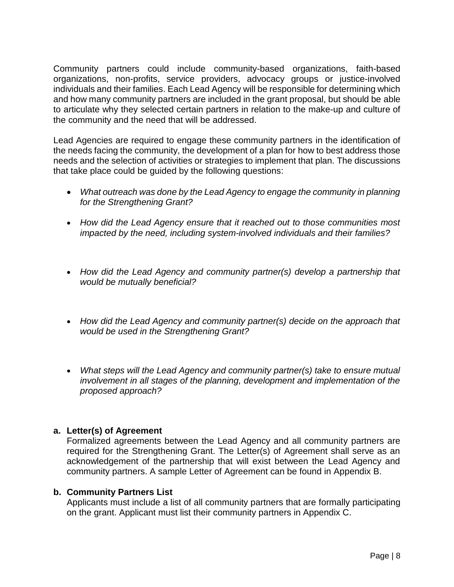Community partners could include community-based organizations, faith-based organizations, non-profits, service providers, advocacy groups or justice-involved individuals and their families. Each Lead Agency will be responsible for determining which and how many community partners are included in the grant proposal, but should be able to articulate why they selected certain partners in relation to the make-up and culture of the community and the need that will be addressed.

Lead Agencies are required to engage these community partners in the identification of the needs facing the community, the development of a plan for how to best address those needs and the selection of activities or strategies to implement that plan. The discussions that take place could be guided by the following questions:

- *What outreach was done by the Lead Agency to engage the community in planning for the Strengthening Grant?*
- *How did the Lead Agency ensure that it reached out to those communities most impacted by the need, including system-involved individuals and their families?*
- *How did the Lead Agency and community partner(s) develop a partnership that would be mutually beneficial?*
- *How did the Lead Agency and community partner(s) decide on the approach that would be used in the Strengthening Grant?*
- *What steps will the Lead Agency and community partner(s) take to ensure mutual involvement in all stages of the planning, development and implementation of the proposed approach?*

## **a. Letter(s) of Agreement**

Formalized agreements between the Lead Agency and all community partners are required for the Strengthening Grant. The Letter(s) of Agreement shall serve as an acknowledgement of the partnership that will exist between the Lead Agency and community partners. A sample Letter of Agreement can be found in Appendix B.

## **b. Community Partners List**

Applicants must include a list of all community partners that are formally participating on the grant. Applicant must list their community partners in Appendix C.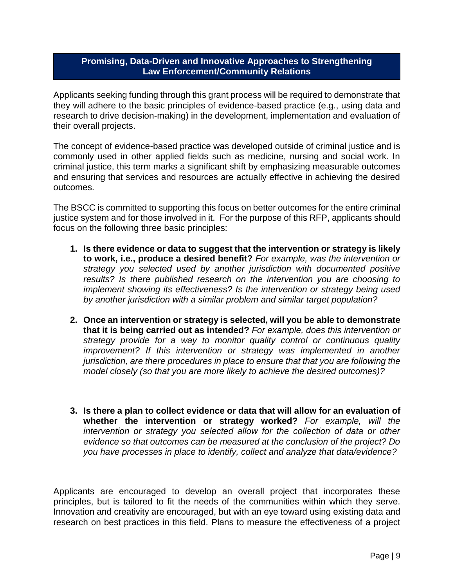## **Promising, Data-Driven and Innovative Approaches to Strengthening Law Enforcement/Community Relations**

Applicants seeking funding through this grant process will be required to demonstrate that they will adhere to the basic principles of evidence-based practice (e.g., using data and research to drive decision-making) in the development, implementation and evaluation of their overall projects.

The concept of evidence-based practice was developed outside of criminal justice and is commonly used in other applied fields such as medicine, nursing and social work. In criminal justice, this term marks a significant shift by emphasizing measurable outcomes and ensuring that services and resources are actually effective in achieving the desired outcomes.

The BSCC is committed to supporting this focus on better outcomes for the entire criminal justice system and for those involved in it. For the purpose of this RFP, applicants should focus on the following three basic principles:

- **1. Is there evidence or data to suggest that the intervention or strategy is likely to work, i.e., produce a desired benefit?** *For example, was the intervention or strategy you selected used by another jurisdiction with documented positive results? Is there published research on the intervention you are choosing to implement showing its effectiveness? Is the intervention or strategy being used by another jurisdiction with a similar problem and similar target population?*
- **2. Once an intervention or strategy is selected, will you be able to demonstrate that it is being carried out as intended?** *For example, does this intervention or strategy provide for a way to monitor quality control or continuous quality improvement?* If this intervention or strategy was implemented in another *jurisdiction, are there procedures in place to ensure that that you are following the model closely (so that you are more likely to achieve the desired outcomes)?*
- **3. Is there a plan to collect evidence or data that will allow for an evaluation of whether the intervention or strategy worked?** *For example, will the intervention or strategy you selected allow for the collection of data or other evidence so that outcomes can be measured at the conclusion of the project? Do you have processes in place to identify, collect and analyze that data/evidence?*

Applicants are encouraged to develop an overall project that incorporates these principles, but is tailored to fit the needs of the communities within which they serve. Innovation and creativity are encouraged, but with an eye toward using existing data and research on best practices in this field. Plans to measure the effectiveness of a project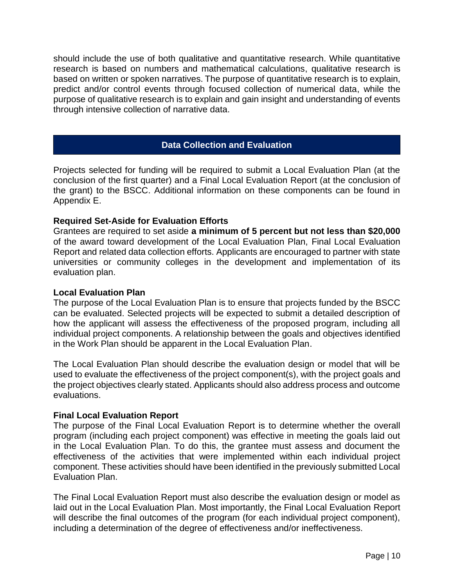should include the use of both qualitative and quantitative research. While quantitative research is based on numbers and mathematical calculations, qualitative research is based on written or spoken narratives. The purpose of quantitative research is to explain, predict and/or control events through focused collection of numerical data, while the purpose of qualitative research is to explain and gain insight and understanding of events through intensive collection of narrative data.

#### **Data Collection and Evaluation**

Projects selected for funding will be required to submit a Local Evaluation Plan (at the conclusion of the first quarter) and a Final Local Evaluation Report (at the conclusion of the grant) to the BSCC. Additional information on these components can be found in Appendix E.

#### **Required Set-Aside for Evaluation Efforts**

Grantees are required to set aside **a minimum of 5 percent but not less than \$20,000** of the award toward development of the Local Evaluation Plan, Final Local Evaluation Report and related data collection efforts. Applicants are encouraged to partner with state universities or community colleges in the development and implementation of its evaluation plan.

#### **Local Evaluation Plan**

The purpose of the Local Evaluation Plan is to ensure that projects funded by the BSCC can be evaluated. Selected projects will be expected to submit a detailed description of how the applicant will assess the effectiveness of the proposed program, including all individual project components. A relationship between the goals and objectives identified in the Work Plan should be apparent in the Local Evaluation Plan.

The Local Evaluation Plan should describe the evaluation design or model that will be used to evaluate the effectiveness of the project component(s), with the project goals and the project objectives clearly stated. Applicants should also address process and outcome evaluations.

#### **Final Local Evaluation Report**

The purpose of the Final Local Evaluation Report is to determine whether the overall program (including each project component) was effective in meeting the goals laid out in the Local Evaluation Plan. To do this, the grantee must assess and document the effectiveness of the activities that were implemented within each individual project component. These activities should have been identified in the previously submitted Local Evaluation Plan.

The Final Local Evaluation Report must also describe the evaluation design or model as laid out in the Local Evaluation Plan. Most importantly, the Final Local Evaluation Report will describe the final outcomes of the program (for each individual project component), including a determination of the degree of effectiveness and/or ineffectiveness.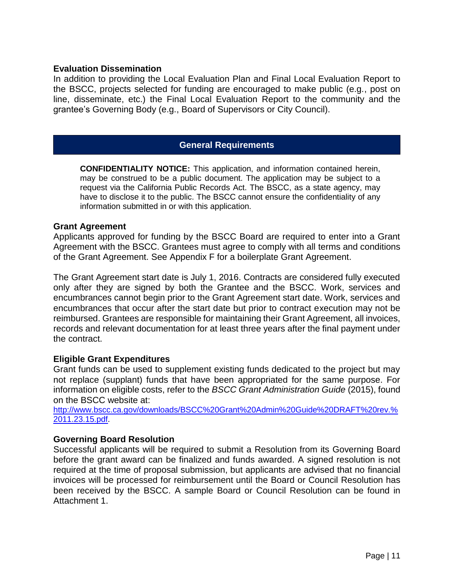#### **Evaluation Dissemination**

In addition to providing the Local Evaluation Plan and Final Local Evaluation Report to the BSCC, projects selected for funding are encouraged to make public (e.g., post on line, disseminate, etc.) the Final Local Evaluation Report to the community and the grantee's Governing Body (e.g., Board of Supervisors or City Council).

#### **General Requirements**

**CONFIDENTIALITY NOTICE:** This application, and information contained herein, may be construed to be a public document. The application may be subject to a request via the California Public Records Act. The BSCC, as a state agency, may have to disclose it to the public. The BSCC cannot ensure the confidentiality of any information submitted in or with this application.

#### **Grant Agreement**

Applicants approved for funding by the BSCC Board are required to enter into a Grant Agreement with the BSCC. Grantees must agree to comply with all terms and conditions of the Grant Agreement. See Appendix F for a boilerplate Grant Agreement.

The Grant Agreement start date is July 1, 2016. Contracts are considered fully executed only after they are signed by both the Grantee and the BSCC. Work, services and encumbrances cannot begin prior to the Grant Agreement start date. Work, services and encumbrances that occur after the start date but prior to contract execution may not be reimbursed. Grantees are responsible for maintaining their Grant Agreement, all invoices, records and relevant documentation for at least three years after the final payment under the contract.

#### **Eligible Grant Expenditures**

Grant funds can be used to supplement existing funds dedicated to the project but may not replace (supplant) funds that have been appropriated for the same purpose. For information on eligible costs, refer to the *BSCC Grant Administration Guide* (2015), found on the BSCC website at:

[http://www.bscc.ca.gov/downloads/BSCC%20Grant%20Admin%20Guide%20DRAFT%20rev.%](http://www.bscc.ca.gov/downloads/BSCC%20Grant%20Admin%20Guide%20DRAFT%20rev.%2011.23.15.pdf) [2011.23.15.pdf.](http://www.bscc.ca.gov/downloads/BSCC%20Grant%20Admin%20Guide%20DRAFT%20rev.%2011.23.15.pdf)

#### **Governing Board Resolution**

Successful applicants will be required to submit a Resolution from its Governing Board before the grant award can be finalized and funds awarded. A signed resolution is not required at the time of proposal submission, but applicants are advised that no financial invoices will be processed for reimbursement until the Board or Council Resolution has been received by the BSCC. A sample Board or Council Resolution can be found in Attachment 1.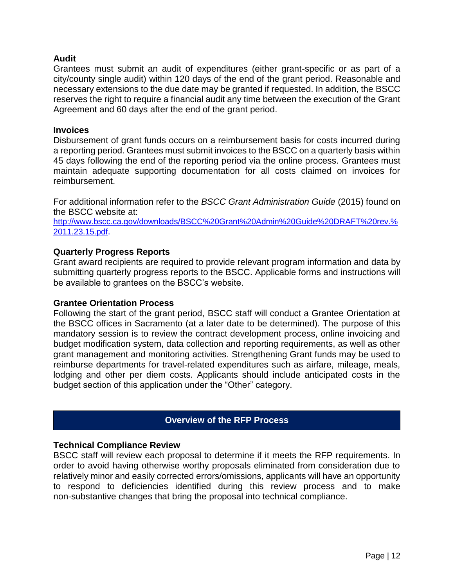## **Audit**

Grantees must submit an audit of expenditures (either grant-specific or as part of a city/county single audit) within 120 days of the end of the grant period. Reasonable and necessary extensions to the due date may be granted if requested. In addition, the BSCC reserves the right to require a financial audit any time between the execution of the Grant Agreement and 60 days after the end of the grant period.

#### **Invoices**

Disbursement of grant funds occurs on a reimbursement basis for costs incurred during a reporting period. Grantees must submit invoices to the BSCC on a quarterly basis within 45 days following the end of the reporting period via the online process. Grantees must maintain adequate supporting documentation for all costs claimed on invoices for reimbursement.

For additional information refer to the *BSCC Grant Administration Guide* (2015) found on the BSCC website at:

[http://www.bscc.ca.gov/downloads/BSCC%20Grant%20Admin%20Guide%20DRAFT%20rev.%](http://www.bscc.ca.gov/downloads/BSCC%20Grant%20Admin%20Guide%20DRAFT%20rev.%2011.23.15.pdf) [2011.23.15.pdf](http://www.bscc.ca.gov/downloads/BSCC%20Grant%20Admin%20Guide%20DRAFT%20rev.%2011.23.15.pdf).

#### **Quarterly Progress Reports**

Grant award recipients are required to provide relevant program information and data by submitting quarterly progress reports to the BSCC. Applicable forms and instructions will be available to grantees on the BSCC's website.

#### **Grantee Orientation Process**

Following the start of the grant period, BSCC staff will conduct a Grantee Orientation at the BSCC offices in Sacramento (at a later date to be determined). The purpose of this mandatory session is to review the contract development process, online invoicing and budget modification system, data collection and reporting requirements, as well as other grant management and monitoring activities. Strengthening Grant funds may be used to reimburse departments for travel-related expenditures such as airfare, mileage, meals, lodging and other per diem costs. Applicants should include anticipated costs in the budget section of this application under the "Other" category.

## **Overview of the RFP Process**

#### **Technical Compliance Review**

BSCC staff will review each proposal to determine if it meets the RFP requirements. In order to avoid having otherwise worthy proposals eliminated from consideration due to relatively minor and easily corrected errors/omissions, applicants will have an opportunity to respond to deficiencies identified during this review process and to make non-substantive changes that bring the proposal into technical compliance.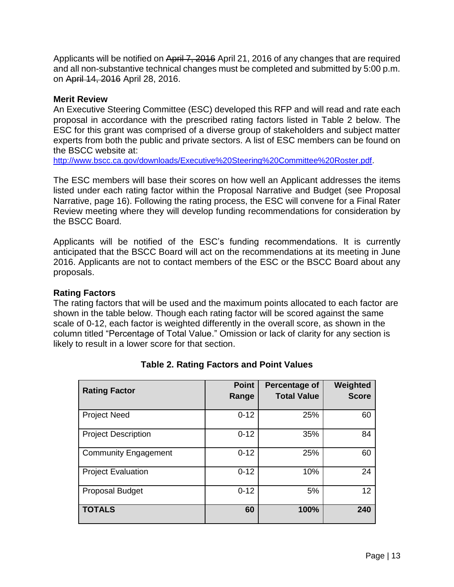Applicants will be notified on April 7, 2016 April 21, 2016 of any changes that are required and all non-substantive technical changes must be completed and submitted by 5:00 p.m. on April 14, 2016 April 28, 2016.

#### **Merit Review**

An Executive Steering Committee (ESC) developed this RFP and will read and rate each proposal in accordance with the prescribed rating factors listed in Table 2 below. The ESC for this grant was comprised of a diverse group of stakeholders and subject matter experts from both the public and private sectors. A list of ESC members can be found on the BSCC website at:

[http://www.bscc.ca.gov/downloads/Executive%20Steering%20Committee%20Roster.pdf.](http://www.bscc.ca.gov/downloads/Executive%20Steering%20Committee%20Roster.pdf)

The ESC members will base their scores on how well an Applicant addresses the items listed under each rating factor within the Proposal Narrative and Budget (see Proposal Narrative, page 16). Following the rating process, the ESC will convene for a Final Rater Review meeting where they will develop funding recommendations for consideration by the BSCC Board.

Applicants will be notified of the ESC's funding recommendations. It is currently anticipated that the BSCC Board will act on the recommendations at its meeting in June 2016. Applicants are not to contact members of the ESC or the BSCC Board about any proposals.

#### **Rating Factors**

The rating factors that will be used and the maximum points allocated to each factor are shown in the table below. Though each rating factor will be scored against the same scale of 0-12, each factor is weighted differently in the overall score, as shown in the column titled "Percentage of Total Value." Omission or lack of clarity for any section is likely to result in a lower score for that section.

| <b>Rating Factor</b>        | <b>Point</b><br>Range | <b>Percentage of</b><br><b>Total Value</b> | Weighted<br><b>Score</b> |
|-----------------------------|-----------------------|--------------------------------------------|--------------------------|
| <b>Project Need</b>         | $0 - 12$              | 25%                                        | 60                       |
| <b>Project Description</b>  | $0 - 12$              | 35%                                        | 84                       |
| <b>Community Engagement</b> | $0 - 12$              | 25%                                        | 60                       |
| <b>Project Evaluation</b>   | $0 - 12$              | 10%                                        | 24                       |
| <b>Proposal Budget</b>      | $0 - 12$              | 5%                                         | 12                       |
| <b>TOTALS</b>               | 60                    | 100%                                       | 240                      |

## **Table 2. Rating Factors and Point Values**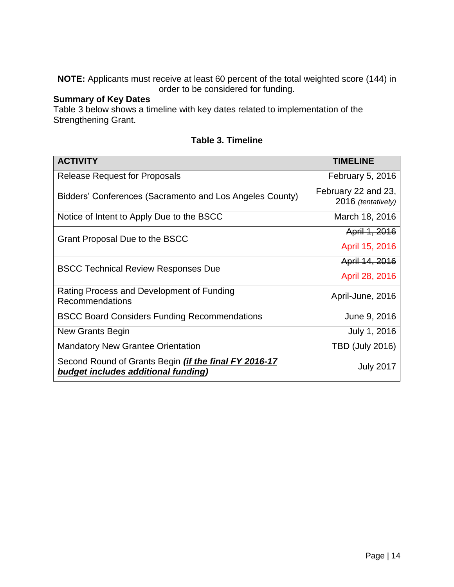**NOTE:** Applicants must receive at least 60 percent of the total weighted score (144) in order to be considered for funding.

## **Summary of Key Dates**

Table 3 below shows a timeline with key dates related to implementation of the Strengthening Grant.

| <b>ACTIVITY</b>                                                                                     | <b>TIMELINE</b>                           |
|-----------------------------------------------------------------------------------------------------|-------------------------------------------|
| <b>Release Request for Proposals</b>                                                                | February 5, 2016                          |
| Bidders' Conferences (Sacramento and Los Angeles County)                                            | February 22 and 23,<br>2016 (tentatively) |
| Notice of Intent to Apply Due to the BSCC                                                           | March 18, 2016                            |
| Grant Proposal Due to the BSCC                                                                      | April 1, 2016                             |
|                                                                                                     | April 15, 2016                            |
| <b>BSCC Technical Review Responses Due</b>                                                          | April 14, 2016                            |
|                                                                                                     | April 28, 2016                            |
| Rating Process and Development of Funding<br>Recommendations                                        | April-June, 2016                          |
| <b>BSCC Board Considers Funding Recommendations</b>                                                 | June 9, 2016                              |
| New Grants Begin                                                                                    | July 1, 2016                              |
| <b>Mandatory New Grantee Orientation</b>                                                            | <b>TBD (July 2016)</b>                    |
| Second Round of Grants Begin <i>(if the final FY 2016-17</i><br>budget includes additional funding) | <b>July 2017</b>                          |

## **Table 3. Timeline**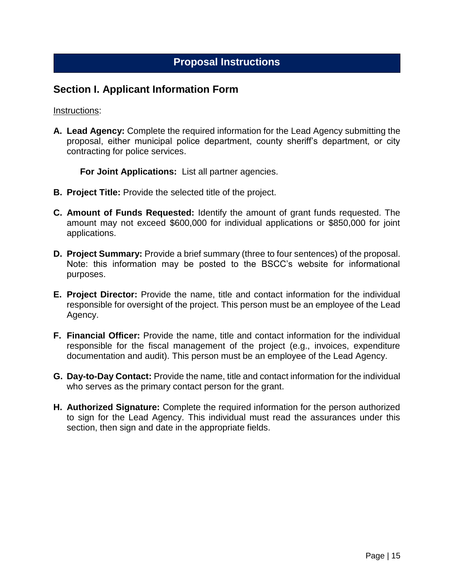## **Proposal Instructions**

## **Section I. Applicant Information Form**

#### Instructions:

**A. Lead Agency:** Complete the required information for the Lead Agency submitting the proposal, either municipal police department, county sheriff's department, or city contracting for police services.

**For Joint Applications:** List all partner agencies.

- **B. Project Title:** Provide the selected title of the project.
- **C. Amount of Funds Requested:** Identify the amount of grant funds requested. The amount may not exceed \$600,000 for individual applications or \$850,000 for joint applications.
- **D. Project Summary:** Provide a brief summary (three to four sentences) of the proposal. Note: this information may be posted to the BSCC's website for informational purposes.
- **E. Project Director:** Provide the name, title and contact information for the individual responsible for oversight of the project. This person must be an employee of the Lead Agency.
- **F. Financial Officer:** Provide the name, title and contact information for the individual responsible for the fiscal management of the project (e.g., invoices, expenditure documentation and audit). This person must be an employee of the Lead Agency.
- **G. Day-to-Day Contact:** Provide the name, title and contact information for the individual who serves as the primary contact person for the grant.
- **H. Authorized Signature:** Complete the required information for the person authorized to sign for the Lead Agency. This individual must read the assurances under this section, then sign and date in the appropriate fields.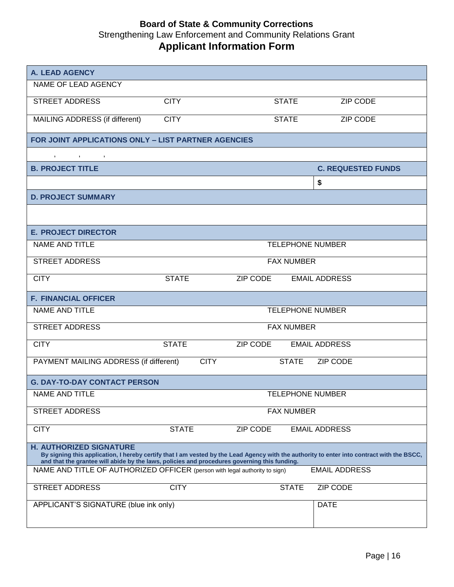## **Board of State & Community Corrections** Strengthening Law Enforcement and Community Relations Grant **Applicant Information Form**

| <b>A. LEAD AGENCY</b>                                                                                                                                                                                                                                                        |              |                   |                           |  |
|------------------------------------------------------------------------------------------------------------------------------------------------------------------------------------------------------------------------------------------------------------------------------|--------------|-------------------|---------------------------|--|
| NAME OF LEAD AGENCY                                                                                                                                                                                                                                                          |              |                   |                           |  |
| <b>STREET ADDRESS</b>                                                                                                                                                                                                                                                        | <b>CITY</b>  | <b>STATE</b>      | <b>ZIP CODE</b>           |  |
| MAILING ADDRESS (if different)                                                                                                                                                                                                                                               | <b>CITY</b>  | <b>STATE</b>      | ZIP CODE                  |  |
| FOR JOINT APPLICATIONS ONLY - LIST PARTNER AGENCIES                                                                                                                                                                                                                          |              |                   |                           |  |
| $, \qquad , \qquad , \qquad , \qquad ,$                                                                                                                                                                                                                                      |              |                   |                           |  |
| <b>B. PROJECT TITLE</b>                                                                                                                                                                                                                                                      |              |                   | <b>C. REQUESTED FUNDS</b> |  |
|                                                                                                                                                                                                                                                                              |              |                   | \$                        |  |
| <b>D. PROJECT SUMMARY</b>                                                                                                                                                                                                                                                    |              |                   |                           |  |
|                                                                                                                                                                                                                                                                              |              |                   |                           |  |
| <b>E. PROJECT DIRECTOR</b>                                                                                                                                                                                                                                                   |              |                   |                           |  |
| NAME AND TITLE                                                                                                                                                                                                                                                               |              |                   | <b>TELEPHONE NUMBER</b>   |  |
| <b>STREET ADDRESS</b>                                                                                                                                                                                                                                                        |              | <b>FAX NUMBER</b> |                           |  |
| <b>CITY</b>                                                                                                                                                                                                                                                                  | <b>STATE</b> | ZIP CODE          | <b>EMAIL ADDRESS</b>      |  |
| <b>F. FINANCIAL OFFICER</b>                                                                                                                                                                                                                                                  |              |                   |                           |  |
| NAME AND TITLE                                                                                                                                                                                                                                                               |              |                   | <b>TELEPHONE NUMBER</b>   |  |
| <b>STREET ADDRESS</b>                                                                                                                                                                                                                                                        |              | <b>FAX NUMBER</b> |                           |  |
| <b>CITY</b>                                                                                                                                                                                                                                                                  | <b>STATE</b> | ZIP CODE          | <b>EMAIL ADDRESS</b>      |  |
| PAYMENT MAILING ADDRESS (if different)                                                                                                                                                                                                                                       | <b>CITY</b>  | <b>STATE</b>      | <b>ZIP CODE</b>           |  |
| <b>G. DAY-TO-DAY CONTACT PERSON</b>                                                                                                                                                                                                                                          |              |                   |                           |  |
| NAME AND TITLE                                                                                                                                                                                                                                                               |              |                   | <b>TELEPHONE NUMBER</b>   |  |
| <b>STREET ADDRESS</b>                                                                                                                                                                                                                                                        |              | <b>FAX NUMBER</b> |                           |  |
| <b>CITY</b>                                                                                                                                                                                                                                                                  | <b>STATE</b> | ZIP CODE          | <b>EMAIL ADDRESS</b>      |  |
| <b>H. AUTHORIZED SIGNATURE</b><br>By signing this application, I hereby certify that I am vested by the Lead Agency with the authority to enter into contract with the BSCC,<br>and that the grantee will abide by the laws, policies and procedures governing this funding. |              |                   |                           |  |
| NAME AND TITLE OF AUTHORIZED OFFICER (person with legal authority to sign)                                                                                                                                                                                                   |              |                   | <b>EMAIL ADDRESS</b>      |  |
| <b>STREET ADDRESS</b>                                                                                                                                                                                                                                                        | <b>CITY</b>  | <b>STATE</b>      | <b>ZIP CODE</b>           |  |
| APPLICANT'S SIGNATURE (blue ink only)                                                                                                                                                                                                                                        |              |                   | <b>DATE</b>               |  |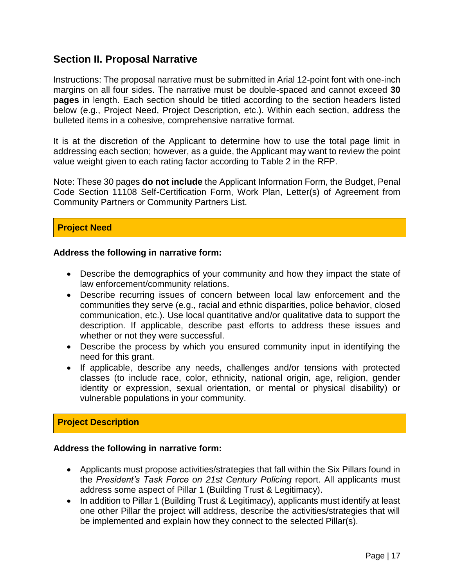## **Section II. Proposal Narrative**

Instructions: The proposal narrative must be submitted in Arial 12-point font with one-inch margins on all four sides. The narrative must be double-spaced and cannot exceed **30 pages** in length. Each section should be titled according to the section headers listed below (e.g., Project Need, Project Description, etc.). Within each section, address the bulleted items in a cohesive, comprehensive narrative format.

It is at the discretion of the Applicant to determine how to use the total page limit in addressing each section; however, as a guide, the Applicant may want to review the point value weight given to each rating factor according to Table 2 in the RFP.

Note: These 30 pages **do not include** the Applicant Information Form, the Budget, Penal Code Section 11108 Self-Certification Form, Work Plan, Letter(s) of Agreement from Community Partners or Community Partners List.

## **Project Need**

## **Address the following in narrative form:**

- Describe the demographics of your community and how they impact the state of law enforcement/community relations.
- Describe recurring issues of concern between local law enforcement and the communities they serve (e.g., racial and ethnic disparities, police behavior, closed communication, etc.). Use local quantitative and/or qualitative data to support the description. If applicable, describe past efforts to address these issues and whether or not they were successful.
- Describe the process by which you ensured community input in identifying the need for this grant.
- If applicable, describe any needs, challenges and/or tensions with protected classes (to include race, color, ethnicity, national origin, age, religion, gender identity or expression, sexual orientation, or mental or physical disability) or vulnerable populations in your community.

## **Project Description**

## **Address the following in narrative form:**

- Applicants must propose activities/strategies that fall within the Six Pillars found in the *President's Task Force on 21st Century Policing* report. All applicants must address some aspect of Pillar 1 (Building Trust & Legitimacy).
- In addition to Pillar 1 (Building Trust & Legitimacy), applicants must identify at least one other Pillar the project will address, describe the activities/strategies that will be implemented and explain how they connect to the selected Pillar(s).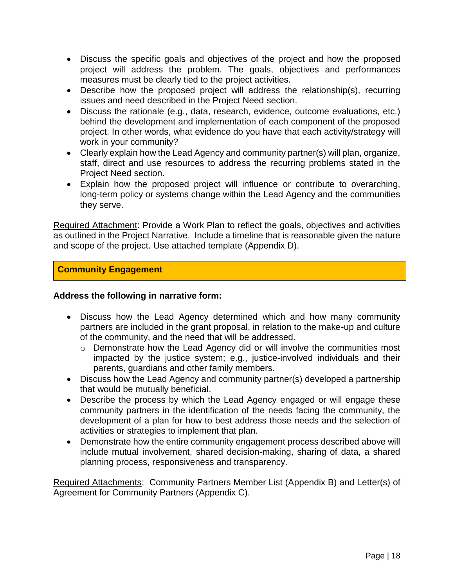- Discuss the specific goals and objectives of the project and how the proposed project will address the problem. The goals, objectives and performances measures must be clearly tied to the project activities.
- Describe how the proposed project will address the relationship(s), recurring issues and need described in the Project Need section.
- Discuss the rationale (e.g., data, research, evidence, outcome evaluations, etc.) behind the development and implementation of each component of the proposed project. In other words, what evidence do you have that each activity/strategy will work in your community?
- Clearly explain how the Lead Agency and community partner(s) will plan, organize, staff, direct and use resources to address the recurring problems stated in the Project Need section.
- Explain how the proposed project will influence or contribute to overarching, long-term policy or systems change within the Lead Agency and the communities they serve.

Required Attachment: Provide a Work Plan to reflect the goals, objectives and activities as outlined in the Project Narrative. Include a timeline that is reasonable given the nature and scope of the project. Use attached template (Appendix D).

## **Community Engagement**

## **Address the following in narrative form:**

- Discuss how the Lead Agency determined which and how many community partners are included in the grant proposal, in relation to the make-up and culture of the community, and the need that will be addressed.
	- o Demonstrate how the Lead Agency did or will involve the communities most impacted by the justice system; e.g., justice-involved individuals and their parents, guardians and other family members.
- Discuss how the Lead Agency and community partner(s) developed a partnership that would be mutually beneficial.
- Describe the process by which the Lead Agency engaged or will engage these community partners in the identification of the needs facing the community, the development of a plan for how to best address those needs and the selection of activities or strategies to implement that plan.
- Demonstrate how the entire community engagement process described above will include mutual involvement, shared decision-making, sharing of data, a shared planning process, responsiveness and transparency.

Required Attachments: Community Partners Member List (Appendix B) and Letter(s) of Agreement for Community Partners (Appendix C).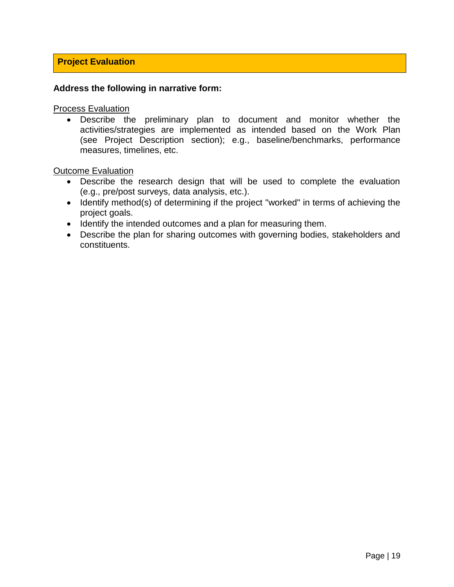## **Project Evaluation**

#### **Address the following in narrative form:**

Process Evaluation

 Describe the preliminary plan to document and monitor whether the activities/strategies are implemented as intended based on the Work Plan (see Project Description section); e.g., baseline/benchmarks, performance measures, timelines, etc.

Outcome Evaluation

- Describe the research design that will be used to complete the evaluation (e.g., pre/post surveys, data analysis, etc.).
- Identify method(s) of determining if the project "worked" in terms of achieving the project goals.
- Identify the intended outcomes and a plan for measuring them.
- Describe the plan for sharing outcomes with governing bodies, stakeholders and constituents.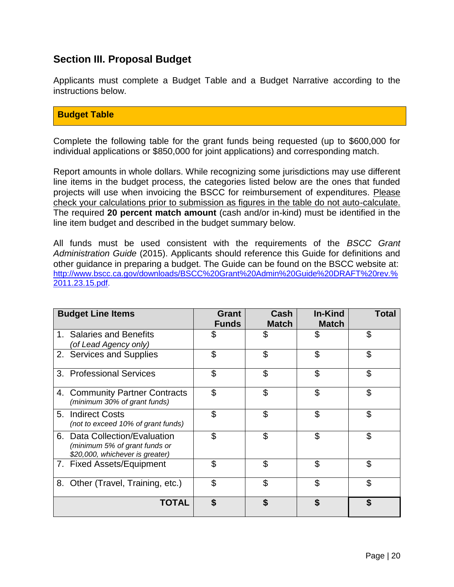## **Section III. Proposal Budget**

Applicants must complete a Budget Table and a Budget Narrative according to the instructions below.

#### **Budget Table**

Complete the following table for the grant funds being requested (up to \$600,000 for individual applications or \$850,000 for joint applications) and corresponding match.

Report amounts in whole dollars. While recognizing some jurisdictions may use different line items in the budget process, the categories listed below are the ones that funded projects will use when invoicing the BSCC for reimbursement of expenditures. Please check your calculations prior to submission as figures in the table do not auto-calculate. The required **20 percent match amount** (cash and/or in-kind) must be identified in the line item budget and described in the budget summary below.

All funds must be used consistent with the requirements of the *BSCC Grant Administration Guide* (2015). Applicants should reference this Guide for definitions and other guidance in preparing a budget. The Guide can be found on the BSCC website at: [http://www.bscc.ca.gov/downloads/BSCC%20Grant%20Admin%20Guide%20DRAFT%20rev.%](http://www.bscc.ca.gov/downloads/BSCC%20Grant%20Admin%20Guide%20DRAFT%20rev.%2011.23.15.pdf) [2011.23.15.pdf.](http://www.bscc.ca.gov/downloads/BSCC%20Grant%20Admin%20Guide%20DRAFT%20rev.%2011.23.15.pdf)

| <b>Budget Line Items</b>                                                                          | Grant<br><b>Funds</b> | Cash<br><b>Match</b> | <b>In-Kind</b><br><b>Match</b> | Total |
|---------------------------------------------------------------------------------------------------|-----------------------|----------------------|--------------------------------|-------|
| 1. Salaries and Benefits<br>(of Lead Agency only)                                                 | \$                    | \$                   | \$                             | \$    |
| 2. Services and Supplies                                                                          | \$                    | \$                   | \$                             | \$    |
| 3. Professional Services                                                                          | \$                    | \$                   | \$                             | \$    |
| 4. Community Partner Contracts<br>(minimum 30% of grant funds)                                    | \$                    | \$                   | \$                             | \$    |
| 5. Indirect Costs<br>(not to exceed 10% of grant funds)                                           | \$                    | \$                   | \$                             | \$    |
| 6. Data Collection/Evaluation<br>(minimum 5% of grant funds or<br>\$20,000, whichever is greater) | \$                    | \$                   | \$                             | \$    |
| 7. Fixed Assets/Equipment                                                                         | \$                    | \$                   | \$                             | \$    |
| 8.<br>Other (Travel, Training, etc.)                                                              | \$                    | \$                   | \$                             | \$    |
| TOTAL                                                                                             | \$                    | \$                   | \$                             | \$    |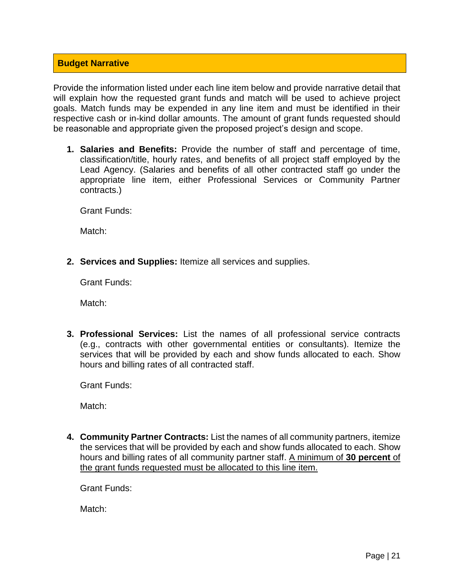## **Budget Narrative**

Provide the information listed under each line item below and provide narrative detail that will explain how the requested grant funds and match will be used to achieve project goals. Match funds may be expended in any line item and must be identified in their respective cash or in-kind dollar amounts. The amount of grant funds requested should be reasonable and appropriate given the proposed project's design and scope.

**1. Salaries and Benefits:** Provide the number of staff and percentage of time, classification/title, hourly rates, and benefits of all project staff employed by the Lead Agency. (Salaries and benefits of all other contracted staff go under the appropriate line item, either Professional Services or Community Partner contracts.)

Grant Funds:

Match:

**2. Services and Supplies:** Itemize all services and supplies.

Grant Funds:

Match:

**3. Professional Services:** List the names of all professional service contracts (e.g., contracts with other governmental entities or consultants). Itemize the services that will be provided by each and show funds allocated to each. Show hours and billing rates of all contracted staff.

Grant Funds:

Match:

**4. Community Partner Contracts:** List the names of all community partners, itemize the services that will be provided by each and show funds allocated to each. Show hours and billing rates of all community partner staff. A minimum of **30 percent** of the grant funds requested must be allocated to this line item.

Grant Funds:

Match: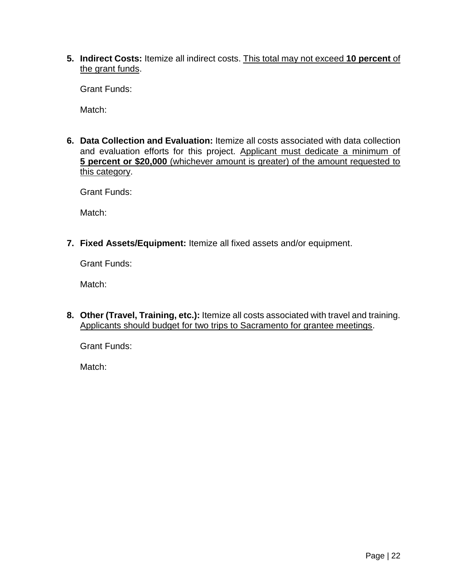**5. Indirect Costs:** Itemize all indirect costs. This total may not exceed **10 percent** of the grant funds.

Grant Funds:

Match:

**6. Data Collection and Evaluation:** Itemize all costs associated with data collection and evaluation efforts for this project. Applicant must dedicate a minimum of **5 percent or \$20,000** (whichever amount is greater) of the amount requested to this category.

Grant Funds:

Match:

**7. Fixed Assets/Equipment:** Itemize all fixed assets and/or equipment.

Grant Funds:

Match:

**8. Other (Travel, Training, etc.):** Itemize all costs associated with travel and training. Applicants should budget for two trips to Sacramento for grantee meetings.

Grant Funds:

Match: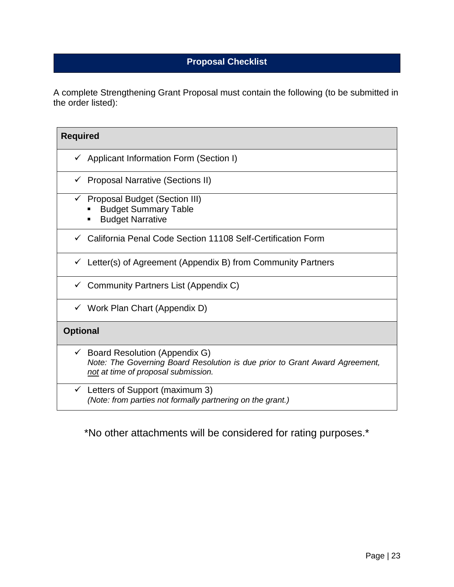## **Proposal Checklist**

A complete Strengthening Grant Proposal must contain the following (to be submitted in the order listed):

| <b>Required</b>                                                                                                                                          |
|----------------------------------------------------------------------------------------------------------------------------------------------------------|
| Applicant Information Form (Section I)                                                                                                                   |
| <b>Proposal Narrative (Sections II)</b>                                                                                                                  |
| <b>Proposal Budget (Section III)</b><br><b>Budget Summary Table</b><br><b>Budget Narrative</b>                                                           |
| California Penal Code Section 11108 Self-Certification Form                                                                                              |
| Letter(s) of Agreement (Appendix B) from Community Partners                                                                                              |
| Community Partners List (Appendix C)                                                                                                                     |
| $\checkmark$ Work Plan Chart (Appendix D)                                                                                                                |
| <b>Optional</b>                                                                                                                                          |
| Board Resolution (Appendix G)<br>✓<br>Note: The Governing Board Resolution is due prior to Grant Award Agreement,<br>not at time of proposal submission. |
| Letters of Support (maximum 3)<br>$\checkmark$<br>(Note: from parties not formally partnering on the grant.)                                             |

\*No other attachments will be considered for rating purposes.\*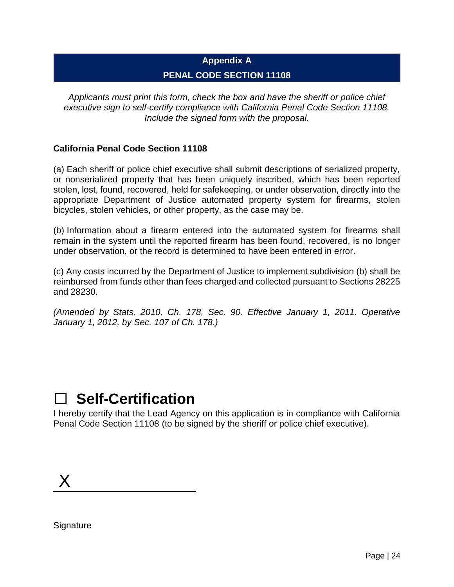# **Appendix A PENAL CODE SECTION 11108**

*Applicants must print this form, check the box and have the sheriff or police chief executive sign to self-certify compliance with California Penal Code Section 11108. Include the signed form with the proposal.*

## **California Penal Code Section 11108**

(a) Each sheriff or police chief executive shall submit descriptions of serialized property, or nonserialized property that has been uniquely inscribed, which has been reported stolen, lost, found, recovered, held for safekeeping, or under observation, directly into the appropriate Department of Justice automated property system for firearms, stolen bicycles, stolen vehicles, or other property, as the case may be.

(b) Information about a firearm entered into the automated system for firearms shall remain in the system until the reported firearm has been found, recovered, is no longer under observation, or the record is determined to have been entered in error.

(c) Any costs incurred by the Department of Justice to implement subdivision (b) shall be reimbursed from funds other than fees charged and collected pursuant to Sections 28225 and 28230.

*(Amended by Stats. 2010, Ch. 178, Sec. 90. Effective January 1, 2011. Operative January 1, 2012, by Sec. 107 of Ch. 178.)*

# ☐ **Self-Certification**

I hereby certify that the Lead Agency on this application is in compliance with California Penal Code Section 11108 (to be signed by the sheriff or police chief executive).

X

**Signature**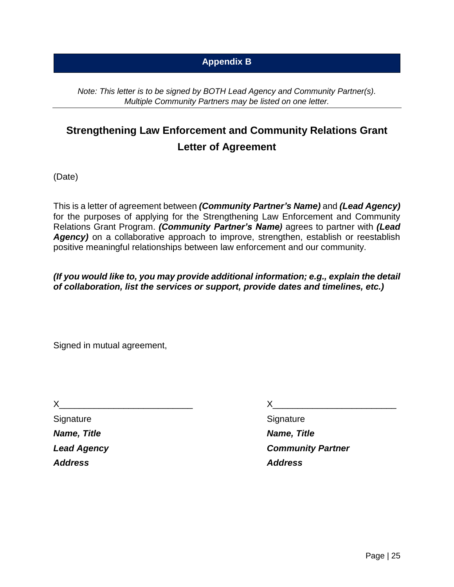## **Appendix B**

*Note: This letter is to be signed by BOTH Lead Agency and Community Partner(s). Multiple Community Partners may be listed on one letter.*

# **Strengthening Law Enforcement and Community Relations Grant Letter of Agreement**

(Date)

This is a letter of agreement between *(Community Partner's Name)* and *(Lead Agency)* for the purposes of applying for the Strengthening Law Enforcement and Community Relations Grant Program. *(Community Partner's Name)* agrees to partner with *(Lead*  **Agency**) on a collaborative approach to improve, strengthen, establish or reestablish positive meaningful relationships between law enforcement and our community.

*(If you would like to, you may provide additional information; e.g., explain the detail of collaboration, list the services or support, provide dates and timelines, etc.)*

Signed in mutual agreement,

 $X$  and  $X$  and  $X$  and  $X$  and  $X$  and  $X$ 

Signature Signature Signature Signature Signature *Name, Title Name, Title Address Address*

*Lead Agency Community Partner*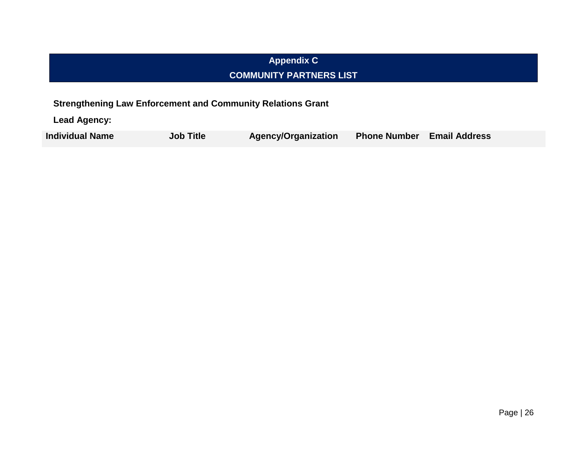# **Appendix C COMMUNITY PARTNERS LIST**

**Strengthening Law Enforcement and Community Relations Grant**

**Lead Agency:**

**Individual Name Job Title Agency/Organization Phone Number Email Address**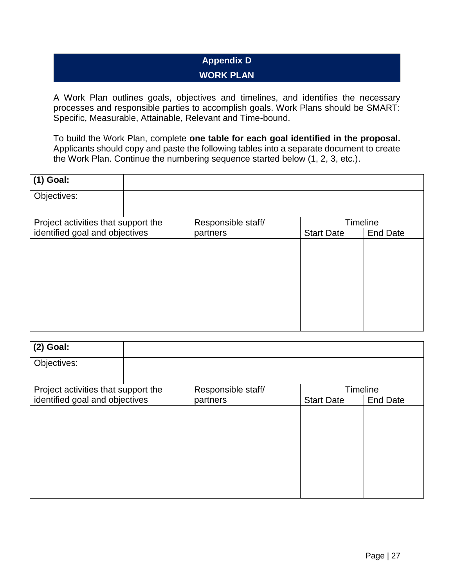# **Appendix D WORK PLAN**

A Work Plan outlines goals, objectives and timelines, and identifies the necessary processes and responsible parties to accomplish goals. Work Plans should be SMART: Specific, Measurable, Attainable, Relevant and Time-bound.

To build the Work Plan, complete **one table for each goal identified in the proposal.** Applicants should copy and paste the following tables into a separate document to create the Work Plan. Continue the numbering sequence started below (1, 2, 3, etc.).

| $(1)$ Goal:                         |                    |                   |                 |
|-------------------------------------|--------------------|-------------------|-----------------|
| Objectives:                         |                    |                   |                 |
| Project activities that support the | Responsible staff/ |                   | <b>Timeline</b> |
| identified goal and objectives      | partners           | <b>Start Date</b> | <b>End Date</b> |
|                                     |                    |                   |                 |

| $(2)$ Goal:                         |                    |                   |                 |
|-------------------------------------|--------------------|-------------------|-----------------|
| Objectives:                         |                    |                   |                 |
| Project activities that support the | Responsible staff/ | Timeline          |                 |
| identified goal and objectives      | partners           | <b>Start Date</b> | <b>End Date</b> |
|                                     |                    |                   |                 |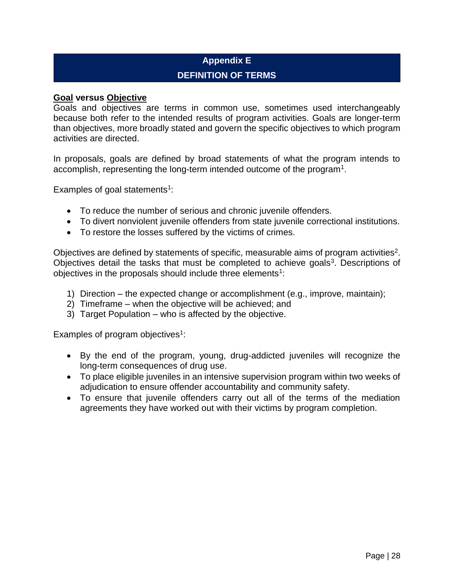# **Appendix E DEFINITION OF TERMS**

#### **Goal versus Objective**

Goals and objectives are terms in common use, sometimes used interchangeably because both refer to the intended results of program activities. Goals are longer-term than objectives, more broadly stated and govern the specific objectives to which program activities are directed.

In proposals, goals are defined by broad statements of what the program intends to accomplish, representing the long-term intended outcome of the program<sup>1</sup>.

Examples of goal statements<sup>1</sup>:

- To reduce the number of serious and chronic juvenile offenders.
- To divert nonviolent juvenile offenders from state juvenile correctional institutions.
- To restore the losses suffered by the victims of crimes.

Objectives are defined by statements of specific, measurable aims of program activities<sup>2</sup>. Objectives detail the tasks that must be completed to achieve goals<sup>3</sup>. Descriptions of objectives in the proposals should include three elements<sup>1</sup>:

- 1) Direction the expected change or accomplishment (e.g., improve, maintain);
- 2) Timeframe when the objective will be achieved; and
- 3) Target Population who is affected by the objective.

Examples of program objectives $1$ :

- By the end of the program, young, drug-addicted juveniles will recognize the long-term consequences of drug use.
- To place eligible juveniles in an intensive supervision program within two weeks of adjudication to ensure offender accountability and community safety.
- To ensure that juvenile offenders carry out all of the terms of the mediation agreements they have worked out with their victims by program completion.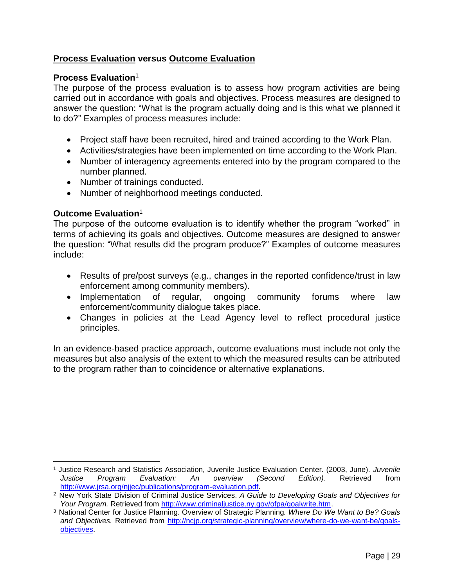## **Process Evaluation versus Outcome Evaluation**

#### **Process Evaluation**<sup>1</sup>

The purpose of the process evaluation is to assess how program activities are being carried out in accordance with goals and objectives. Process measures are designed to answer the question: "What is the program actually doing and is this what we planned it to do?" Examples of process measures include:

- Project staff have been recruited, hired and trained according to the Work Plan.
- Activities/strategies have been implemented on time according to the Work Plan.
- Number of interagency agreements entered into by the program compared to the number planned.
- Number of trainings conducted.
- Number of neighborhood meetings conducted.

## **Outcome Evaluation**<sup>1</sup>

 $\overline{a}$ 

The purpose of the outcome evaluation is to identify whether the program "worked" in terms of achieving its goals and objectives. Outcome measures are designed to answer the question: "What results did the program produce?" Examples of outcome measures include:

- Results of pre/post surveys (e.g., changes in the reported confidence/trust in law enforcement among community members).
- Implementation of regular, ongoing community forums where law enforcement/community dialogue takes place.
- Changes in policies at the Lead Agency level to reflect procedural justice principles.

In an evidence-based practice approach, outcome evaluations must include not only the measures but also analysis of the extent to which the measured results can be attributed to the program rather than to coincidence or alternative explanations.

<sup>1</sup> Justice Research and Statistics Association, Juvenile Justice Evaluation Center. (2003, June). *Juvenile Justice Program Evaluation: An overview (Second Edition).* Retrieved from [http://www.jrsa.org/njjec/publications/program-evaluation.pdf.](http://www.jrsa.org/njjec/publications/program-evaluation.pdf)

<sup>2</sup>New York State Division of Criminal Justice Services. *A Guide to Developing Goals and Objectives for Your Program.* Retrieved from [http://www.criminaljustice.ny.gov/ofpa/goalwrite.htm.](http://www.criminaljustice.ny.gov/ofpa/goalwrite.htm)

<sup>3</sup>National Center for Justice Planning. Overview of Strategic Planning*. Where Do We Want to Be? Goals and Objectives.* Retrieved from [http://ncjp.org/strategic-planning/overview/where-do-we-want-be/goals](http://ncjp.org/strategic-planning/overview/where-do-we-want-be/goals-objectives)[objectives.](http://ncjp.org/strategic-planning/overview/where-do-we-want-be/goals-objectives)